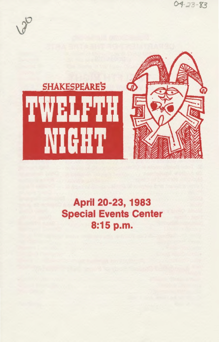

# April 20-23, 1983 Special Events Center 8:15 p.m.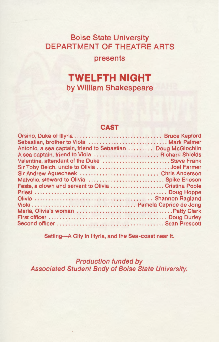### Boise State University DEPARTMENT OF THEATRE ARTS

presents

## **TWELFTH NIGHT**  by William Shakespeare

#### **CAST**

| Sebastian, brother to Viola  Mark Palmer                     |  |
|--------------------------------------------------------------|--|
| Antonio, a sea captain, friend to Sebastian  Doug McGlochlin |  |
| A sea captain, friend to Viola  Richard Shields              |  |
| Valentine, attendant of the Duke  Steve Frank                |  |
| Sir Toby Belch, uncle to Olivia Joel Farmer                  |  |
| Sir Andrew Aguecheek  Chris Anderson                         |  |
|                                                              |  |
| Feste, a clown and servant to Olivia Cristina Poole          |  |
|                                                              |  |
|                                                              |  |
|                                                              |  |
|                                                              |  |
|                                                              |  |
|                                                              |  |
|                                                              |  |

Setting-A City in Illyria, and the Sea-coast near it.

Production funded by Associated Student Body of Boise State University.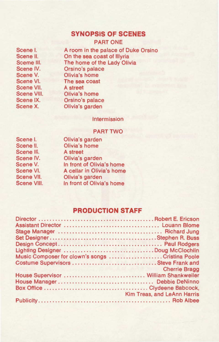#### **SYNOPSIS OF SCENES**

PART ONE

Scene I. Scene II. Sceme Ill. Scene IV. Scene V. Scene VI. Scene VII. Scene VIII. Scene IX. Scene X.

A room in the palace of Duke Orsino On the sea coast of lllyria The home of the Lady Olivia Orsino's palace Olivia's home The sea coast A street Olivia's home Orsino's palace Olivia's garden

Intermission

#### PART TWO

| Scene I.    |
|-------------|
| Scene II.   |
| Scene III.  |
| Scene IV.   |
| Scene V.    |
| Scene VI.   |
| Scene VII.  |
| Scene VIII. |
|             |

Olivia's garden Olivia's home A street Olivia's garden In front of Olivia's home A cellar in Olivia's home Olivia's garden In front of Olivia's home

#### **PRODUCTION STAFF**

| Lighting Designer Doug McClochlin               |                                    |
|-------------------------------------------------|------------------------------------|
| Music Composer for clown's songs Cristina Poole |                                    |
| Costume Supervisors  Steve Frank and            |                                    |
| emperature and more than the state of the       | <b>Cherrie Bragg</b>               |
| House Supervisor  William Shankweiler           |                                    |
|                                                 |                                    |
|                                                 |                                    |
|                                                 | <b>Kim Treas, and LeAnn Harris</b> |
|                                                 |                                    |
|                                                 |                                    |